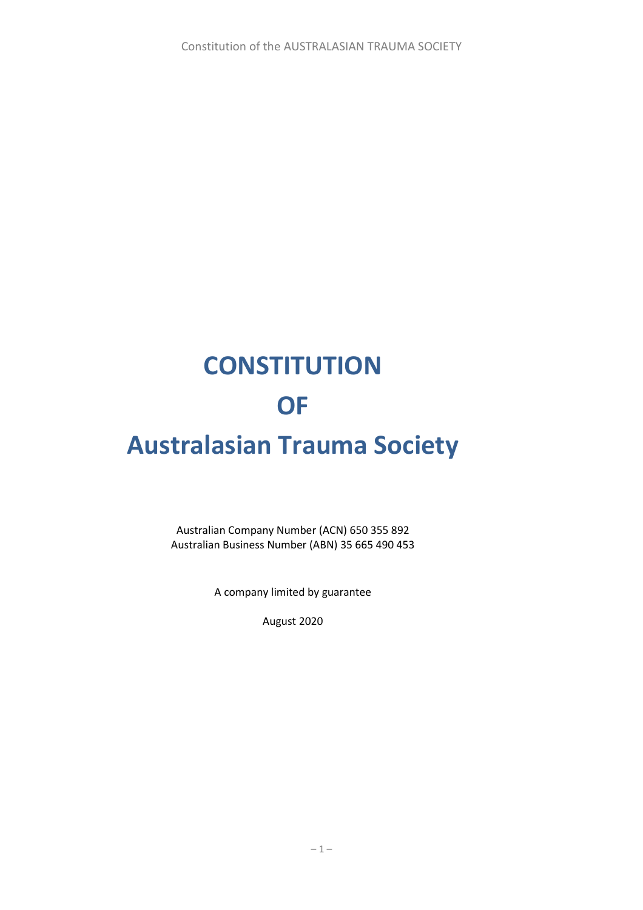Constitution of the AUSTRALASIAN TRAUMA SOCIETY

# **CONSTITUTION OF**

## **Australasian Trauma Society**

Australian Company Number (ACN) 650 355 892 Australian Business Number (ABN) 35 665 490 453

A company limited by guarantee

August 2020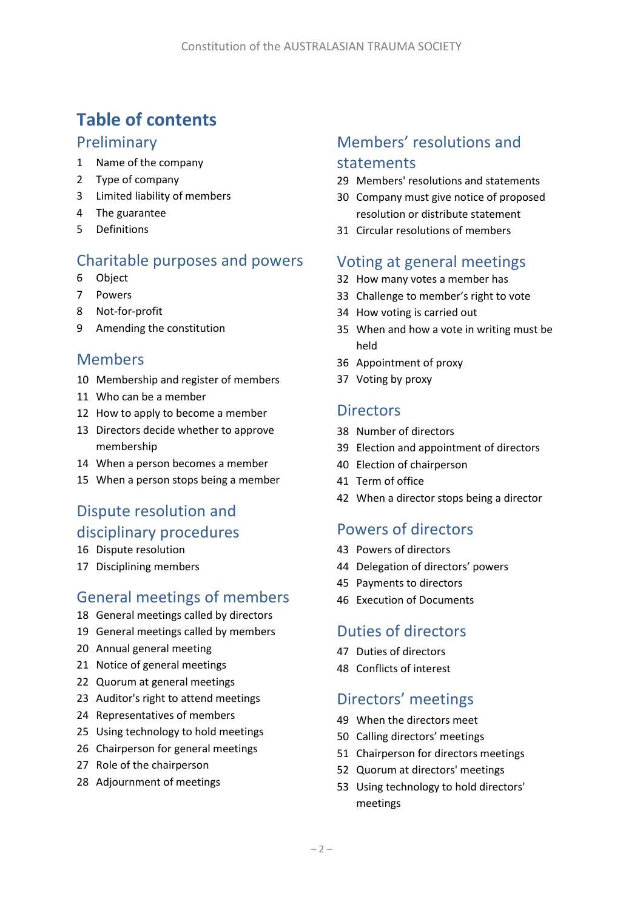### **Table of contents**

### Preliminary

- Name of the company
- Type of company
- Limited liability of members
- The guarantee
- Definitions

### Charitable purposes and powers

- <span id="page-1-3"></span>Object
- Powers
- Not-for-profit
- Amending the constitution

### Members

- Membership and register of members
- Who can be a member
- How to apply to become a member
- Directors decide whether to approve membership
- When a person becomes a member
- When a person stops being a member

### Dispute resolution and disciplinary procedures

- Dispute resolution
- <span id="page-1-0"></span>Disciplining members

### General meetings of members

- General meetings called by directors
- General meetings called by members
- Annual general meeting
- Notice of general meetings
- Quorum at general meetings
- Auditor's right to attend meetings
- Representatives of members
- Using technology to hold meetings
- Chairperson for general meetings
- Role of the chairperson
- Adjournment of meetings

### Members' resolutions and statements

- <span id="page-1-1"></span>Members' resolutions and statements
- <span id="page-1-5"></span> Company must give notice of proposed resolution or distribute statement
- Circular resolutions of members

### Voting at general meetings

- How many votes a member has
- Challenge to member's right to vote
- How voting is carried out
- When and how a vote in writing must be held
- Appointment of proxy
- Voting by proxy

### **Directors**

- Number of directors
- <span id="page-1-2"></span>Election and appointment of directors
- Election of chairperson
- Term of office
- When a director stops being a director

### Powers of directors

- Powers of directors
- <span id="page-1-4"></span>Delegation of directors' powers
- Payments to directors
- Execution of Documents

### Duties of directors

- Duties of directors
- Conflicts of interest

### Directors' meetings

- When the directors meet
- Calling directors' meetings
- Chairperson for directors meetings
- Quorum at directors' meetings
- Using technology to hold directors' meetings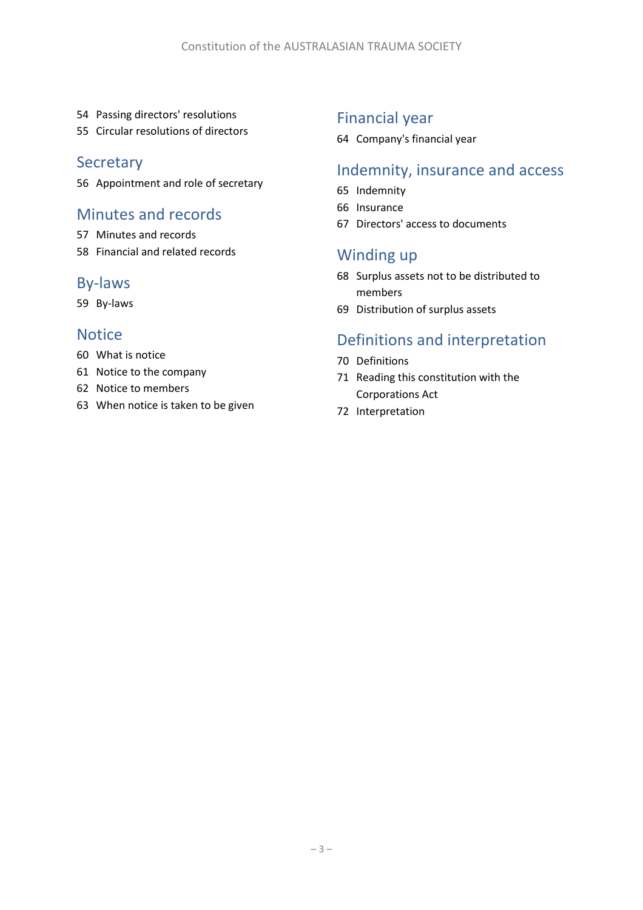- Passing directors' resolutions
- Circular resolutions of directors

### **Secretary**

Appointment and role of secretary

### Minutes and records

- Minutes and records
- Financial and related records

### By-laws

By-laws

### **Notice**

- What is notice
- Notice to the company
- Notice to members
- When notice is taken to be given

### Financial year

Company's financial year

### Indemnity, insurance and access

- Indemnity
- Insurance
- Directors' access to documents

### Winding up

- Surplus assets not to be distributed to members
- Distribution of surplus assets

### Definitions and interpretation

- Definitions
- Reading this constitution with the Corporations Act
- Interpretation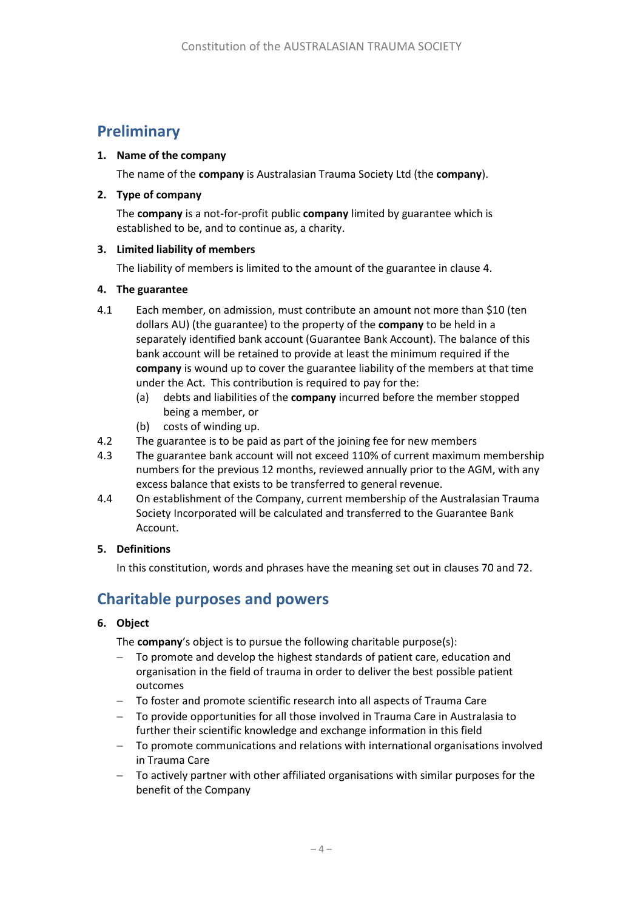### **Preliminary**

#### **1. Name of the company**

The name of the **company** is Australasian Trauma Society Ltd (the **company**).

#### **2. Type of company**

The **company** is a not-for-profit public **company** limited by guarantee which is established to be, and to continue as, a charity.

#### **3. Limited liability of members**

The liability of members is limited to the amount of the guarantee in clause [4.](#page-3-0)

#### <span id="page-3-0"></span>**4. The guarantee**

- 4.1 Each member, on admission, must contribute an amount not more than \$10 (ten dollars AU) (the guarantee) to the property of the **company** to be held in a separately identified bank account (Guarantee Bank Account). The balance of this bank account will be retained to provide at least the minimum required if the **company** is wound up to cover the guarantee liability of the members at that time under the Act. This contribution is required to pay for the:
	- (a) debts and liabilities of the **company** incurred before the member stopped being a member, or
	- (b) costs of winding up.
- 4.2 The guarantee is to be paid as part of the joining fee for new members
- 4.3 The guarantee bank account will not exceed 110% of current maximum membership numbers for the previous 12 months, reviewed annually prior to the AGM, with any excess balance that exists to be transferred to general revenue.
- 4.4 On establishment of the Company, current membership of the Australasian Trauma Society Incorporated will be calculated and transferred to the Guarantee Bank Account.

#### **5. Definitions**

In this constitution, words and phrases have the meaning set out in clause[s 70](#page-22-0) an[d 72.](#page-23-0)

### **Charitable purposes and powers**

#### **6. Object**

The **company**'s object is to pursue the following charitable purpose(s):

- − To promote and develop the highest standards of patient care, education and organisation in the field of trauma in order to deliver the best possible patient outcomes
- − To foster and promote scientific research into all aspects of Trauma Care
- − To provide opportunities for all those involved in Trauma Care in Australasia to further their scientific knowledge and exchange information in this field
- − To promote communications and relations with international organisations involved in Trauma Care
- − To actively partner with other affiliated organisations with similar purposes for the benefit of the Company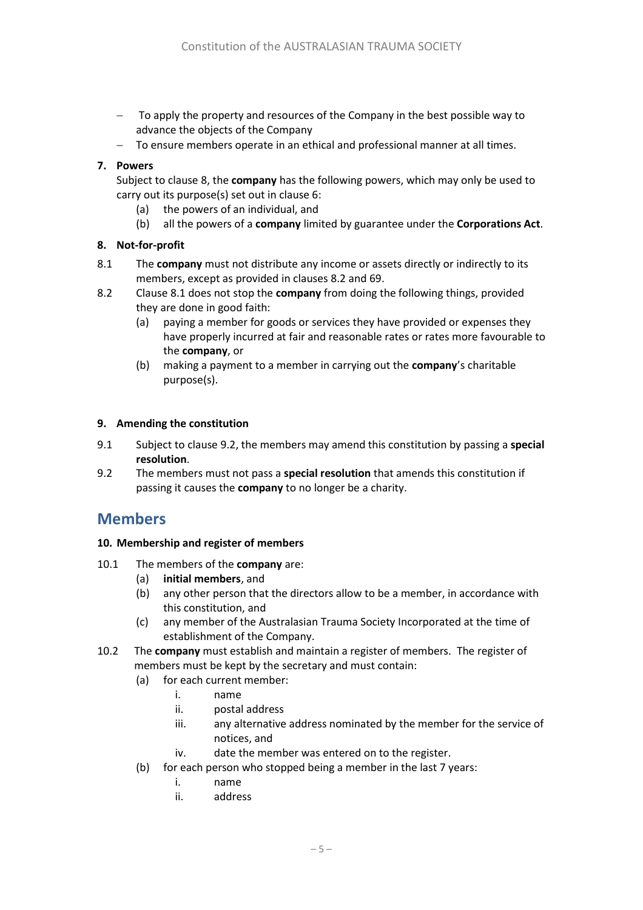- − To apply the property and resources of the Company in the best possible way to advance the objects of the Company
- To ensure members operate in an ethical and professional manner at all times.

#### **7. Powers**

Subject to clause [8,](#page-4-0) the **company** has the following powers, which may only be used to carry out its purpose(s) set out in clause 6:

- (a) the powers of an individual, and
- (b) all the powers of a **company** limited by guarantee under the **Corporations Act**.

#### <span id="page-4-0"></span>**8. Not-for-profit**

- <span id="page-4-2"></span>8.1 The **company** must not distribute any income or assets directly or indirectly to its members, except as provided in clauses [8.2](#page-4-1) and [69.](#page-22-1)
- <span id="page-4-1"></span>8.2 Claus[e 8.1](#page-4-2) does not stop the **company** from doing the following things, provided they are done in good faith:
	- (a) paying a member for goods or services they have provided or expenses they have properly incurred at fair and reasonable rates or rates more favourable to the **company**, or
	- (b) making a payment to a member in carrying out the **company**'s charitable purpose(s).

#### **9. Amending the constitution**

- 9.1 Subject to clause [9.2,](#page-4-3) the members may amend this constitution by passing a **special resolution**.
- <span id="page-4-3"></span>9.2 The members must not pass a **special resolution** that amends this constitution if passing it causes the **company** to no longer be a charity.

### **Members**

#### **10. Membership and register of members**

- 10.1 The members of the **company** are:
	- (a) **initial members**, and
	- (b) any other person that the directors allow to be a member, in accordance with this constitution, and
	- (c) any member of the Australasian Trauma Society Incorporated at the time of establishment of the Company.
- 10.2 The **company** must establish and maintain a register of members. The register of members must be kept by the secretary and must contain:
	- (a) for each current member:
		- i. name
		- ii. postal address
		- iii. any alternative address nominated by the member for the service of notices, and
		- iv. date the member was entered on to the register.
	- (b) for each person who stopped being a member in the last 7 years:
		- i. name
		- ii. address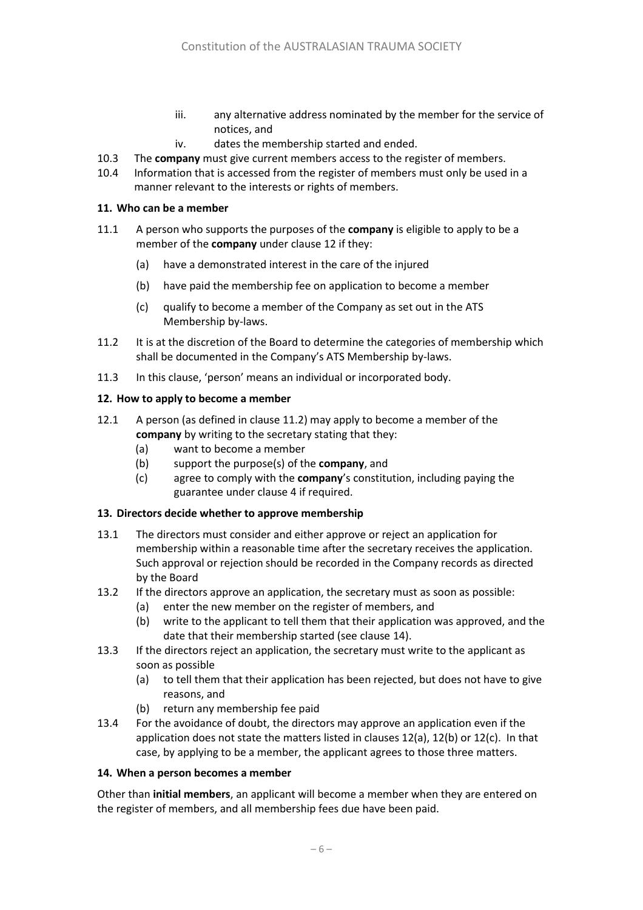- iii. any alternative address nominated by the member for the service of notices, and
- iv. dates the membership started and ended.
- 10.3 The **company** must give current members access to the register of members.
- 10.4 Information that is accessed from the register of members must only be used in a manner relevant to the interests or rights of members.

#### **11. Who can be a member**

- 11.1 A person who supports the purposes of the **company** is eligible to apply to be a member of the **company** under claus[e 12](#page-5-0) if they:
	- (a) have a demonstrated interest in the care of the injured
	- (b) have paid the membership fee on application to become a member
	- (c) qualify to become a member of the Company as set out in the ATS Membership by-laws.
- 11.2 It is at the discretion of the Board to determine the categories of membership which shall be documented in the Company's ATS Membership by-laws.
- 11.3 In this clause, 'person' means an individual or incorporated body.

#### <span id="page-5-0"></span>**12. How to apply to become a member**

- 12.1 A person (as defined in clause 11.2) may apply to become a member of the **company** by writing to the secretary stating that they:
	- (a) want to become a member
	- (b) support the purpose(s) of the **company**, and
	- (c) agree to comply with the **company**'s constitution, including paying the guarantee under clause 4 if required.

#### **13. Directors decide whether to approve membership**

- 13.1 The directors must consider and either approve or reject an application for membership within a reasonable time after the secretary receives the application. Such approval or rejection should be recorded in the Company records as directed by the Board
- 13.2 If the directors approve an application, the secretary must as soon as possible:
	- (a) enter the new member on the register of members, and
	- (b) write to the applicant to tell them that their application was approved, and the date that their membership started (see claus[e 14\)](#page-5-1).
- 13.3 If the directors reject an application, the secretary must write to the applicant as soon as possible
	- (a) to tell them that their application has been rejected, but does not have to give reasons, and
	- (b) return any membership fee paid
- 13.4 For the avoidance of doubt, the directors may approve an application even if the application does not state the matters listed in clauses 12(a), 12(b) or 12(c). In that case, by applying to be a member, the applicant agrees to those three matters.

#### <span id="page-5-1"></span>**14. When a person becomes a member**

Other than **initial members**, an applicant will become a member when they are entered on the register of members, and all membership fees due have been paid.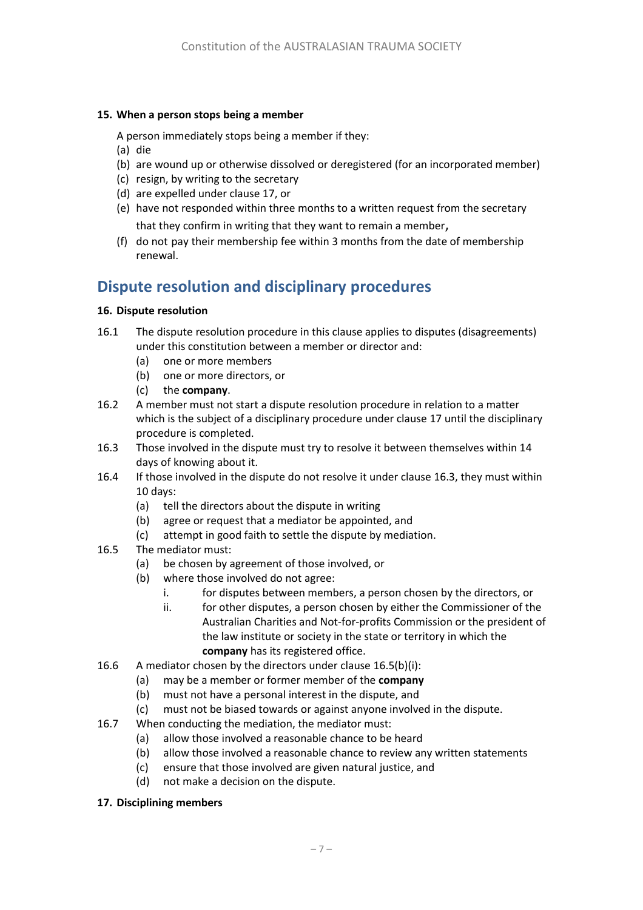#### **15. When a person stops being a member**

A person immediately stops being a member if they:

- (a) die
- (b) are wound up or otherwise dissolved or deregistered (for an incorporated member)
- (c) resign, by writing to the secretary
- (d) are expelled under clause [17,](#page-1-0) or
- (e) have not responded within three months to a written request from the secretary that they confirm in writing that they want to remain a member,
- (f) do not pay their membership fee within 3 months from the date of membership renewal.

### **Dispute resolution and disciplinary procedures**

#### **16. Dispute resolution**

- 16.1 The dispute resolution procedure in this clause applies to disputes (disagreements) under this constitution between a member or director and:
	- (a) one or more members
	- (b) one or more directors, or
	- (c) the **company**.
- 16.2 A member must not start a dispute resolution procedure in relation to a matter which is the subject of a disciplinary procedure under clause 17 until the disciplinary procedure is completed.
- <span id="page-6-0"></span>16.3 Those involved in the dispute must try to resolve it between themselves within 14 days of knowing about it.
- 16.4 If those involved in the dispute do not resolve it under claus[e 16.3,](#page-6-0) they must within 10 days:
	- (a) tell the directors about the dispute in writing
	- (b) agree or request that a mediator be appointed, and
	- (c) attempt in good faith to settle the dispute by mediation.
- <span id="page-6-2"></span><span id="page-6-1"></span>16.5 The mediator must:
	- (a) be chosen by agreement of those involved, or
	- (b) where those involved do not agree:
		- i. for disputes between members, a person chosen by the directors, or
		- ii. for other disputes, a person chosen by either the Commissioner of the Australian Charities and Not-for-profits Commission or the president of the law institute or society in the state or territory in which the **company** has its registered office.
- 16.6 A mediator chosen by the directors under claus[e 16.5\(b\)](#page-6-1)[\(i\)](#page-6-2):
	- (a) may be a member or former member of the **company**
	- (b) must not have a personal interest in the dispute, and
	- (c) must not be biased towards or against anyone involved in the dispute.
- 16.7 When conducting the mediation, the mediator must:
	- (a) allow those involved a reasonable chance to be heard
	- (b) allow those involved a reasonable chance to review any written statements
	- (c) ensure that those involved are given natural justice, and
	- (d) not make a decision on the dispute.
- **17. Disciplining members**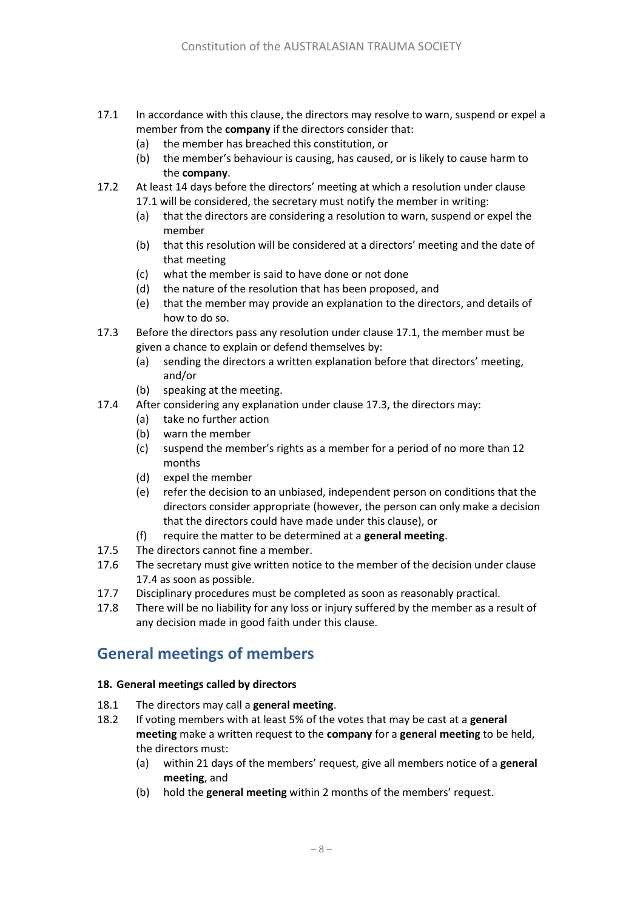- <span id="page-7-0"></span>17.1 In accordance with this clause, the directors may resolve to warn, suspend or expel a member from the **company** if the directors consider that:
	- (a) the member has breached this constitution, or
	- (b) the member's behaviour is causing, has caused, or is likely to cause harm to the **company**.
- 17.2 At least 14 days before the directors' meeting at which a resolution under clause [17.1](#page-7-0) will be considered, the secretary must notify the member in writing:
	- (a) that the directors are considering a resolution to warn, suspend or expel the member
	- (b) that this resolution will be considered at a directors' meeting and the date of that meeting
	- (c) what the member is said to have done or not done
	- (d) the nature of the resolution that has been proposed, and
	- (e) that the member may provide an explanation to the directors, and details of how to do so.
- <span id="page-7-1"></span>17.3 Before the directors pass any resolution under clause [17.1,](#page-7-0) the member must be given a chance to explain or defend themselves by:
	- (a) sending the directors a written explanation before that directors' meeting, and/or
	- (b) speaking at the meeting.
- <span id="page-7-2"></span>17.4 After considering any explanation under claus[e 17.3,](#page-7-1) the directors may:
	- (a) take no further action
	- (b) warn the member
	- (c) suspend the member's rights as a member for a period of no more than 12 months
	- (d) expel the member
	- (e) refer the decision to an unbiased, independent person on conditions that the directors consider appropriate (however, the person can only make a decision that the directors could have made under this clause), or
	- (f) require the matter to be determined at a **general meeting**.
- 17.5 The directors cannot fine a member.
- 17.6 The secretary must give written notice to the member of the decision under clause [17.4](#page-7-2) as soon as possible.
- 17.7 Disciplinary procedures must be completed as soon as reasonably practical.
- 17.8 There will be no liability for any loss or injury suffered by the member as a result of any decision made in good faith under this clause.

### **General meetings of members**

#### **18. General meetings called by directors**

- 18.1 The directors may call a **general meeting**.
- <span id="page-7-3"></span>18.2 If voting members with at least 5% of the votes that may be cast at a **general meeting** make a written request to the **company** for a **general meeting** to be held, the directors must:
	- (a) within 21 days of the members' request, give all members notice of a **general meeting**, and
	- (b) hold the **general meeting** within 2 months of the members' request.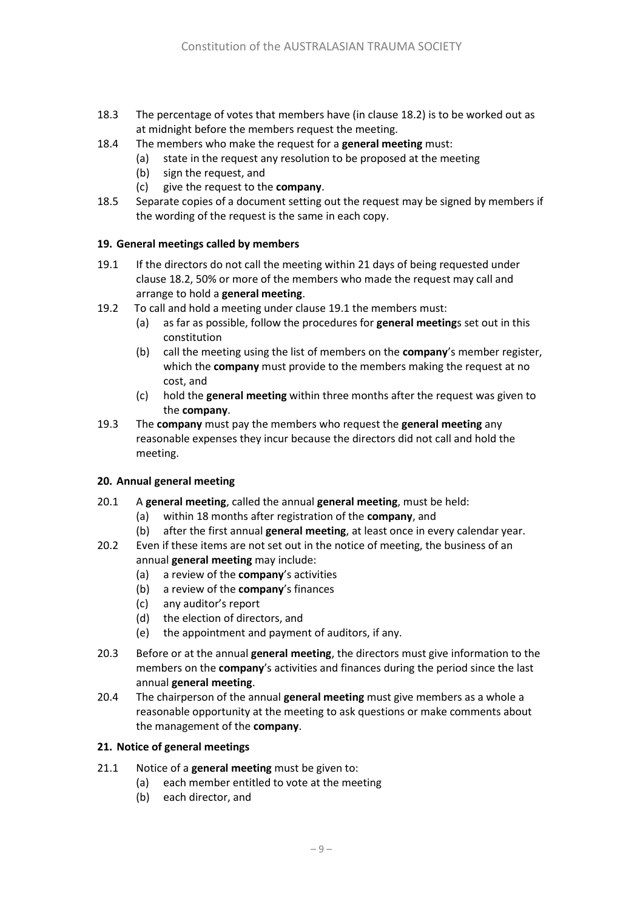- 18.3 The percentage of votes that members have (in clause [18.2\)](#page-7-3) is to be worked out as at midnight before the members request the meeting.
- 18.4 The members who make the request for a **general meeting** must:
	- (a) state in the request any resolution to be proposed at the meeting
	- (b) sign the request, and
	- (c) give the request to the **company**.
- 18.5 Separate copies of a document setting out the request may be signed by members if the wording of the request is the same in each copy.

#### **19. General meetings called by members**

- <span id="page-8-0"></span>19.1 If the directors do not call the meeting within 21 days of being requested under claus[e 18.2,](#page-7-3) 50% or more of the members who made the request may call and arrange to hold a **general meeting**.
- 19.2 To call and hold a meeting under clause [19.1](#page-8-0) the members must:
	- (a) as far as possible, follow the procedures for **general meeting**s set out in this constitution
	- (b) call the meeting using the list of members on the **company**'s member register, which the **company** must provide to the members making the request at no cost, and
	- (c) hold the **general meeting** within three months after the request was given to the **company**.
- 19.3 The **company** must pay the members who request the **general meeting** any reasonable expenses they incur because the directors did not call and hold the meeting.

#### **20. Annual general meeting**

- 20.1 A **general meeting**, called the annual **general meeting**, must be held:
	- (a) within 18 months after registration of the **company**, and
	- (b) after the first annual **general meeting**, at least once in every calendar year.
- 20.2 Even if these items are not set out in the notice of meeting, the business of an annual **general meeting** may include:
	- (a) a review of the **company**'s activities
	- (b) a review of the **company**'s finances
	- (c) any auditor's report
	- (d) the election of directors, and
	- (e) the appointment and payment of auditors, if any.
- 20.3 Before or at the annual **general meeting**, the directors must give information to the members on the **company**'s activities and finances during the period since the last annual **general meeting**.
- 20.4 The chairperson of the annual **general meeting** must give members as a whole a reasonable opportunity at the meeting to ask questions or make comments about the management of the **company**.

#### **21. Notice of general meetings**

- 21.1 Notice of a **general meeting** must be given to:
	- (a) each member entitled to vote at the meeting
	- (b) each director, and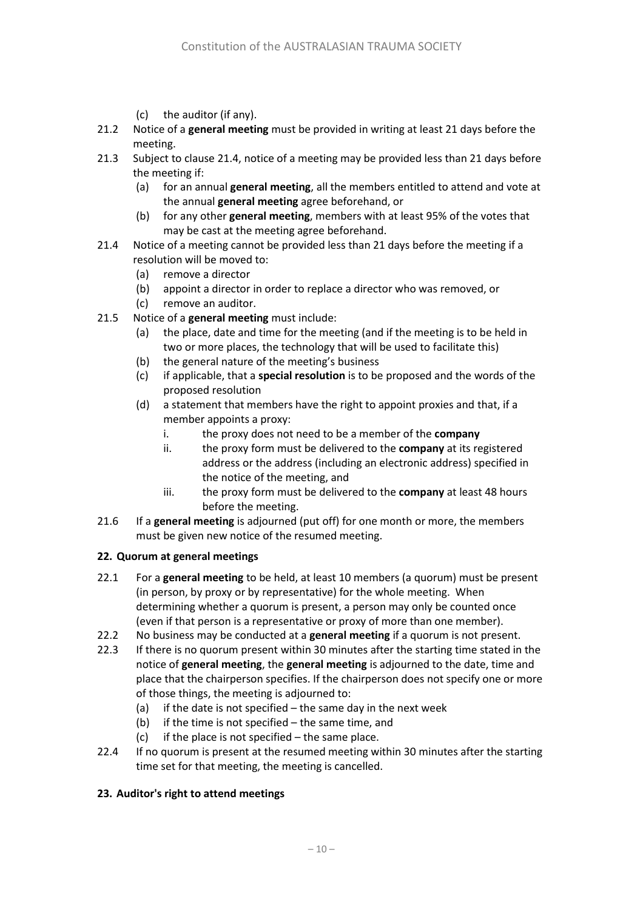- (c) the auditor (if any).
- 21.2 Notice of a **general meeting** must be provided in writing at least 21 days before the meeting.
- 21.3 Subject to clause [21.4,](#page-9-0) notice of a meeting may be provided less than 21 days before the meeting if:
	- (a) for an annual **general meeting**, all the members entitled to attend and vote at the annual **general meeting** agree beforehand, or
	- (b) for any other **general meeting**, members with at least 95% of the votes that may be cast at the meeting agree beforehand.
- <span id="page-9-0"></span>21.4 Notice of a meeting cannot be provided less than 21 days before the meeting if a resolution will be moved to:
	- (a) remove a director
	- (b) appoint a director in order to replace a director who was removed, or
	- (c) remove an auditor.
- <span id="page-9-1"></span>21.5 Notice of a **general meeting** must include:
	- (a) the place, date and time for the meeting (and if the meeting is to be held in two or more places, the technology that will be used to facilitate this)
	- (b) the general nature of the meeting's business
	- (c) if applicable, that a **special resolution** is to be proposed and the words of the proposed resolution
	- (d) a statement that members have the right to appoint proxies and that, if a member appoints a proxy:
		- i. the proxy does not need to be a member of the **company**
		- ii. the proxy form must be delivered to the **company** at its registered address or the address (including an electronic address) specified in the notice of the meeting, and
		- iii. the proxy form must be delivered to the **company** at least 48 hours before the meeting.
- 21.6 If a **general meeting** is adjourned (put off) for one month or more, the members must be given new notice of the resumed meeting.

#### **22. Quorum at general meetings**

- 22.1 For a **general meeting** to be held, at least 10 members (a quorum) must be present (in person, by proxy or by representative) for the whole meeting. When determining whether a quorum is present, a person may only be counted once (even if that person is a representative or proxy of more than one member).
- 22.2 No business may be conducted at a **general meeting** if a quorum is not present.
- 22.3 If there is no quorum present within 30 minutes after the starting time stated in the notice of **general meeting**, the **general meeting** is adjourned to the date, time and place that the chairperson specifies. If the chairperson does not specify one or more of those things, the meeting is adjourned to:
	- (a) if the date is not specified the same day in the next week
	- (b) if the time is not specified the same time, and
	- (c) if the place is not specified the same place.
- 22.4 If no quorum is present at the resumed meeting within 30 minutes after the starting time set for that meeting, the meeting is cancelled.

#### **23. Auditor's right to attend meetings**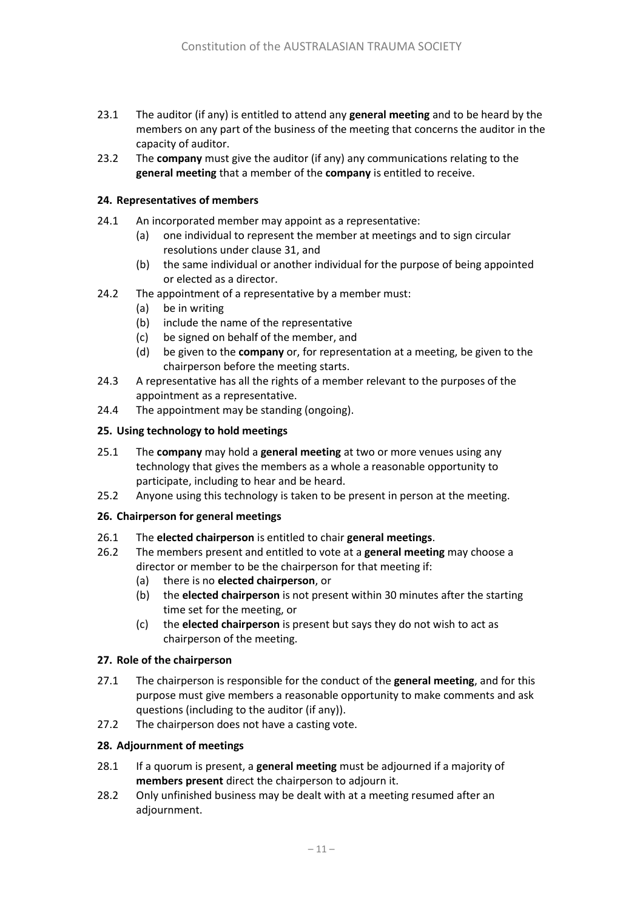- 23.1 The auditor (if any) is entitled to attend any **general meeting** and to be heard by the members on any part of the business of the meeting that concerns the auditor in the capacity of auditor.
- 23.2 The **company** must give the auditor (if any) any communications relating to the **general meeting** that a member of the **company** is entitled to receive.

#### **24. Representatives of members**

- 24.1 An incorporated member may appoint as a representative:
	- (a) one individual to represent the member at meetings and to sign circular resolutions under clause 31, and
	- (b) the same individual or another individual for the purpose of being appointed or elected as a director.
- 24.2 The appointment of a representative by a member must:
	- (a) be in writing
	- (b) include the name of the representative
	- (c) be signed on behalf of the member, and
	- (d) be given to the **company** or, for representation at a meeting, be given to the chairperson before the meeting starts.
- 24.3 A representative has all the rights of a member relevant to the purposes of the appointment as a representative.
- 24.4 The appointment may be standing (ongoing).

#### **25. Using technology to hold meetings**

- 25.1 The **company** may hold a **general meeting** at two or more venues using any technology that gives the members as a whole a reasonable opportunity to participate, including to hear and be heard.
- 25.2 Anyone using this technology is taken to be present in person at the meeting.

#### **26. Chairperson for general meetings**

- 26.1 The **elected chairperson** is entitled to chair **general meetings**.
- <span id="page-10-0"></span>26.2 The members present and entitled to vote at a **general meeting** may choose a director or member to be the chairperson for that meeting if:
	- (a) there is no **elected chairperson**, or
	- (b) the **elected chairperson** is not present within 30 minutes after the starting time set for the meeting, or
	- (c) the **elected chairperson** is present but says they do not wish to act as chairperson of the meeting.

#### **27. Role of the chairperson**

- 27.1 The chairperson is responsible for the conduct of the **general meeting**, and for this purpose must give members a reasonable opportunity to make comments and ask questions (including to the auditor (if any)).
- 27.2 The chairperson does not have a casting vote.

#### **28. Adjournment of meetings**

- 28.1 If a quorum is present, a **general meeting** must be adjourned if a majority of **members present** direct the chairperson to adjourn it.
- 28.2 Only unfinished business may be dealt with at a meeting resumed after an adjournment.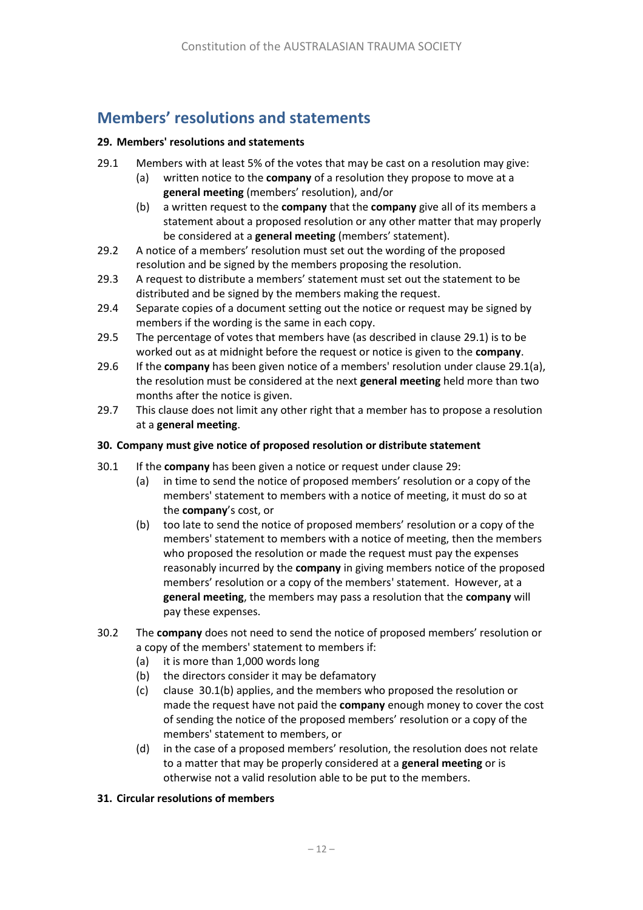### **Members' resolutions and statements**

#### **29. Members' resolutions and statements**

- <span id="page-11-1"></span><span id="page-11-0"></span>29.1 Members with at least 5% of the votes that may be cast on a resolution may give:
	- (a) written notice to the **company** of a resolution they propose to move at a **general meeting** (members' resolution), and/or
	- (b) a written request to the **company** that the **company** give all of its members a statement about a proposed resolution or any other matter that may properly be considered at a **general meeting** (members' statement).
- 29.2 A notice of a members' resolution must set out the wording of the proposed resolution and be signed by the members proposing the resolution.
- 29.3 A request to distribute a members' statement must set out the statement to be distributed and be signed by the members making the request.
- 29.4 Separate copies of a document setting out the notice or request may be signed by members if the wording is the same in each copy.
- 29.5 The percentage of votes that members have (as described in clause [29.1\)](#page-11-0) is to be worked out as at midnight before the request or notice is given to the **company**.
- 29.6 If the **company** has been given notice of a members' resolution under claus[e 29.1\(a\),](#page-11-1) the resolution must be considered at the next **general meeting** held more than two months after the notice is given.
- 29.7 This clause does not limit any other right that a member has to propose a resolution at a **general meeting**.

#### **30. Company must give notice of proposed resolution or distribute statement**

- <span id="page-11-2"></span>30.1 If the **company** has been given a notice or request under clause [29:](#page-1-1)
	- (a) in time to send the notice of proposed members' resolution or a copy of the members' statement to members with a notice of meeting, it must do so at the **company**'s cost, or
	- (b) too late to send the notice of proposed members' resolution or a copy of the members' statement to members with a notice of meeting, then the members who proposed the resolution or made the request must pay the expenses reasonably incurred by the **company** in giving members notice of the proposed members' resolution or a copy of the members' statement. However, at a **general meeting**, the members may pass a resolution that the **company** will pay these expenses.
- 30.2 The **company** does not need to send the notice of proposed members' resolution or a copy of the members' statement to members if:
	- (a) it is more than 1,000 words long
	- (b) the directors consider it may be defamatory
	- (c) clause [30.1\(b\)](#page-11-2) applies, and the members who proposed the resolution or made the request have not paid the **company** enough money to cover the cost of sending the notice of the proposed members' resolution or a copy of the members' statement to members, or
	- (d) in the case of a proposed members' resolution, the resolution does not relate to a matter that may be properly considered at a **general meeting** or is otherwise not a valid resolution able to be put to the members.

#### **31. Circular resolutions of members**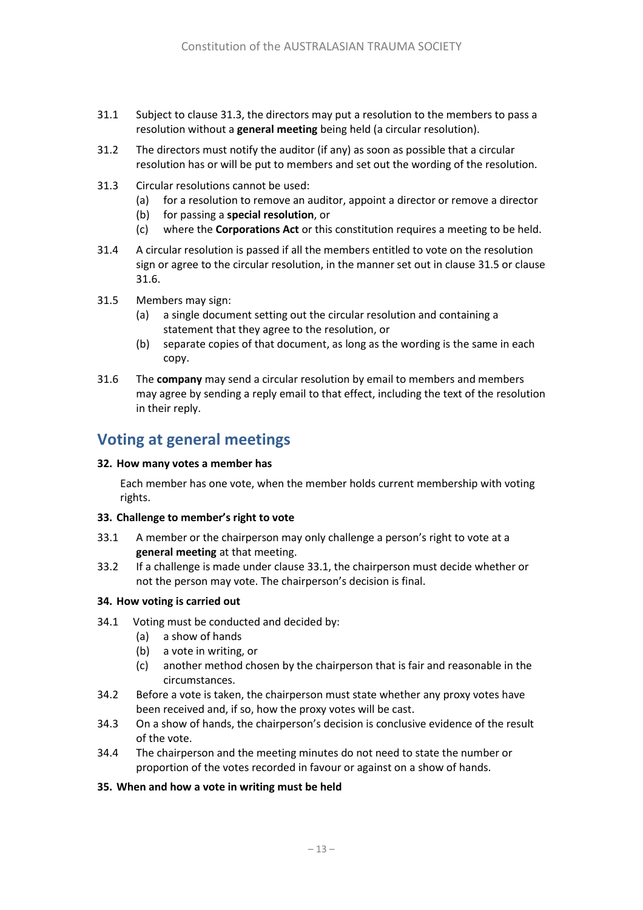- 31.1 Subject to clause [31.3,](#page-12-0) the directors may put a resolution to the members to pass a resolution without a **general meeting** being held (a circular resolution).
- 31.2 The directors must notify the auditor (if any) as soon as possible that a circular resolution has or will be put to members and set out the wording of the resolution.
- <span id="page-12-0"></span>31.3 Circular resolutions cannot be used:
	- (a) for a resolution to remove an auditor, appoint a director or remove a director
	- (b) for passing a **special resolution**, or
	- (c) where the **Corporations Act** or this constitution requires a meeting to be held.
- 31.4 A circular resolution is passed if all the members entitled to vote on the resolution sign or agree to the circular resolution, in the manner set out in clause [31.5](#page-12-1) or clause 31.6.
- <span id="page-12-1"></span>31.5 Members may sign:
	- (a) a single document setting out the circular resolution and containing a statement that they agree to the resolution, or
	- (b) separate copies of that document, as long as the wording is the same in each copy.
- 31.6 The **company** may send a circular resolution by email to members and members may agree by sending a reply email to that effect, including the text of the resolution in their reply.

### **Voting at general meetings**

#### **32. How many votes a member has**

Each member has one vote, when the member holds current membership with voting rights.

#### **33. Challenge to member's right to vote**

- <span id="page-12-2"></span>33.1 A member or the chairperson may only challenge a person's right to vote at a **general meeting** at that meeting.
- 33.2 If a challenge is made under clause [33.1,](#page-12-2) the chairperson must decide whether or not the person may vote. The chairperson's decision is final.

#### **34. How voting is carried out**

- 34.1 Voting must be conducted and decided by:
	- (a) a show of hands
	- (b) a vote in writing, or
	- (c) another method chosen by the chairperson that is fair and reasonable in the circumstances.
- 34.2 Before a vote is taken, the chairperson must state whether any proxy votes have been received and, if so, how the proxy votes will be cast.
- 34.3 On a show of hands, the chairperson's decision is conclusive evidence of the result of the vote.
- 34.4 The chairperson and the meeting minutes do not need to state the number or proportion of the votes recorded in favour or against on a show of hands.

#### **35. When and how a vote in writing must be held**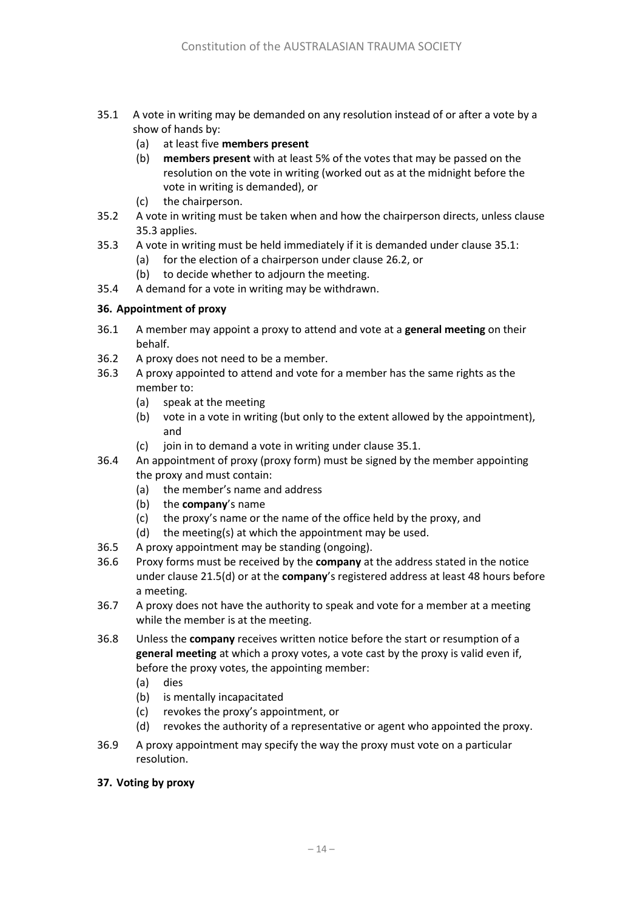- <span id="page-13-1"></span>35.1 A vote in writing may be demanded on any resolution instead of or after a vote by a show of hands by:
	- (a) at least five **members present**
	- (b) **members present** with at least 5% of the votes that may be passed on the resolution on the vote in writing (worked out as at the midnight before the vote in writing is demanded), or
	- (c) the chairperson.
- 35.2 A vote in writing must be taken when and how the chairperson directs, unless clause [35.3](#page-13-0) applies.
- <span id="page-13-0"></span>35.3 A vote in writing must be held immediately if it is demanded under claus[e 35.1:](#page-13-1)
	- (a) for the election of a chairperson under clause [26.2,](#page-10-0) or
	- (b) to decide whether to adjourn the meeting.
- 35.4 A demand for a vote in writing may be withdrawn.

#### **36. Appointment of proxy**

- 36.1 A member may appoint a proxy to attend and vote at a **general meeting** on their behalf.
- 36.2 A proxy does not need to be a member.
- 36.3 A proxy appointed to attend and vote for a member has the same rights as the member to:
	- (a) speak at the meeting
	- (b) vote in a vote in writing (but only to the extent allowed by the appointment), and
	- (c) join in to demand a vote in writing under clause [35.1.](#page-13-1)
- 36.4 An appointment of proxy (proxy form) must be signed by the member appointing the proxy and must contain:
	- (a) the member's name and address
	- (b) the **company**'s name
	- (c) the proxy's name or the name of the office held by the proxy, and
	- (d) the meeting(s) at which the appointment may be used.
- 36.5 A proxy appointment may be standing (ongoing).
- <span id="page-13-2"></span>36.6 Proxy forms must be received by the **company** at the address stated in the notice under claus[e 21.5\(d\)](#page-9-1) or at the **company**'s registered address at least 48 hours before a meeting.
- 36.7 A proxy does not have the authority to speak and vote for a member at a meeting while the member is at the meeting.
- 36.8 Unless the **company** receives written notice before the start or resumption of a **general meeting** at which a proxy votes, a vote cast by the proxy is valid even if, before the proxy votes, the appointing member:
	- (a) dies
	- (b) is mentally incapacitated
	- (c) revokes the proxy's appointment, or
	- (d) revokes the authority of a representative or agent who appointed the proxy.
- 36.9 A proxy appointment may specify the way the proxy must vote on a particular resolution.

#### **37. Voting by proxy**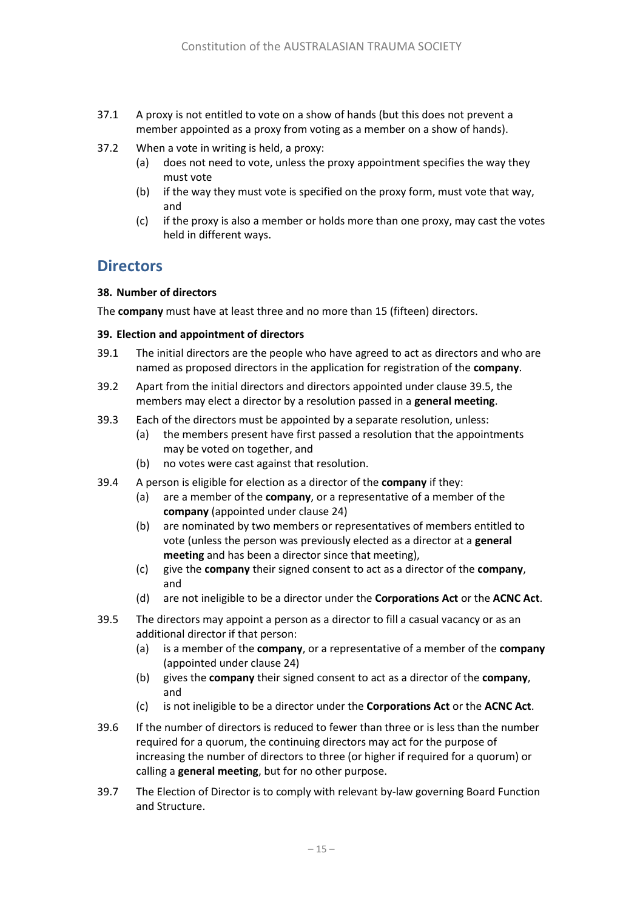- 37.1 A proxy is not entitled to vote on a show of hands (but this does not prevent a member appointed as a proxy from voting as a member on a show of hands).
- 37.2 When a vote in writing is held, a proxy:
	- (a) does not need to vote, unless the proxy appointment specifies the way they must vote
	- (b) if the way they must vote is specified on the proxy form, must vote that way, and
	- (c) if the proxy is also a member or holds more than one proxy, may cast the votes held in different ways.

### **Directors**

#### **38. Number of directors**

The **company** must have at least three and no more than 15 (fifteen) directors.

#### **39. Election and appointment of directors**

- 39.1 The initial directors are the people who have agreed to act as directors and who are named as proposed directors in the application for registration of the **company**.
- 39.2 Apart from the initial directors and directors appointed under clause [39.](#page-1-2)5, the members may elect a director by a resolution passed in a **general meeting**.
- 39.3 Each of the directors must be appointed by a separate resolution, unless:
	- (a) the members present have first passed a resolution that the appointments may be voted on together, and
	- (b) no votes were cast against that resolution.
- 39.4 A person is eligible for election as a director of the **company** if they:
	- (a) are a member of the **company**, or a representative of a member of the **company** (appointed under clause 24)
	- (b) are nominated by two members or representatives of members entitled to vote (unless the person was previously elected as a director at a **general meeting** and has been a director since that meeting),
	- (c) give the **company** their signed consent to act as a director of the **company**, and
	- (d) are not ineligible to be a director under the **Corporations Act** or the **ACNC Act**.
- 39.5 The directors may appoint a person as a director to fill a casual vacancy or as an additional director if that person:
	- (a) is a member of the **company**, or a representative of a member of the **company**  (appointed under clause 24)
	- (b) gives the **company** their signed consent to act as a director of the **company**, and
	- (c) is not ineligible to be a director under the **Corporations Act** or the **ACNC Act**.
- 39.6 If the number of directors is reduced to fewer than three or is less than the number required for a quorum, the continuing directors may act for the purpose of increasing the number of directors to three (or higher if required for a quorum) or calling a **general meeting**, but for no other purpose.
- 39.7 The Election of Director is to comply with relevant by-law governing Board Function and Structure.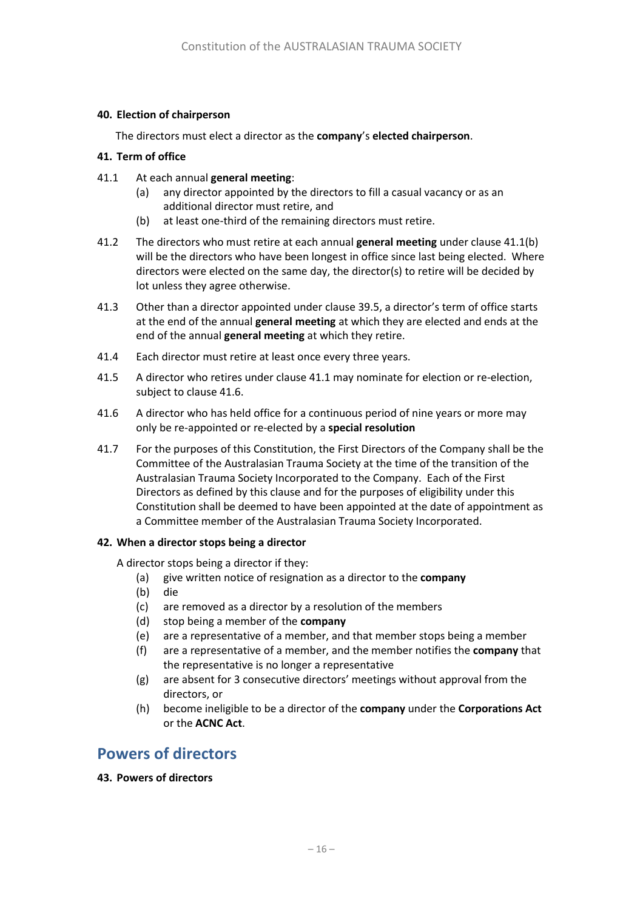#### **40. Election of chairperson**

The directors must elect a director as the **company**'s **elected chairperson**.

#### **41. Term of office**

- <span id="page-15-1"></span>41.1 At each annual **general meeting**:
	- (a) any director appointed by the directors to fill a casual vacancy or as an additional director must retire, and
	- (b) at least one-third of the remaining directors must retire.
- <span id="page-15-0"></span>41.2 The directors who must retire at each annual **general meeting** under clause [41.1\(b\)](#page-15-0) will be the directors who have been longest in office since last being elected. Where directors were elected on the same day, the director(s) to retire will be decided by lot unless they agree otherwise.
- 41.3 Other than a director appointed under clause [39.](#page-1-2)5, a director's term of office starts at the end of the annual **general meeting** at which they are elected and ends at the end of the annual **general meeting** at which they retire.
- 41.4 Each director must retire at least once every three years.
- 41.5 A director who retires under clause [41.1](#page-15-1) may nominate for election or re-election, subject to clause 41.6.
- 41.6 A director who has held office for a continuous period of nine years or more may only be re-appointed or re-elected by a **special resolution**
- 41.7 For the purposes of this Constitution, the First Directors of the Company shall be the Committee of the Australasian Trauma Society at the time of the transition of the Australasian Trauma Society Incorporated to the Company. Each of the First Directors as defined by this clause and for the purposes of eligibility under this Constitution shall be deemed to have been appointed at the date of appointment as a Committee member of the Australasian Trauma Society Incorporated.

#### **42. When a director stops being a director**

A director stops being a director if they:

- (a) give written notice of resignation as a director to the **company**
- (b) die
- (c) are removed as a director by a resolution of the members
- (d) stop being a member of the **company**
- (e) are a representative of a member, and that member stops being a member
- (f) are a representative of a member, and the member notifies the **company** that the representative is no longer a representative
- (g) are absent for 3 consecutive directors' meetings without approval from the directors, or
- (h) become ineligible to be a director of the **company** under the **Corporations Act** or the **ACNC Act**.

### **Powers of directors**

#### **43. Powers of directors**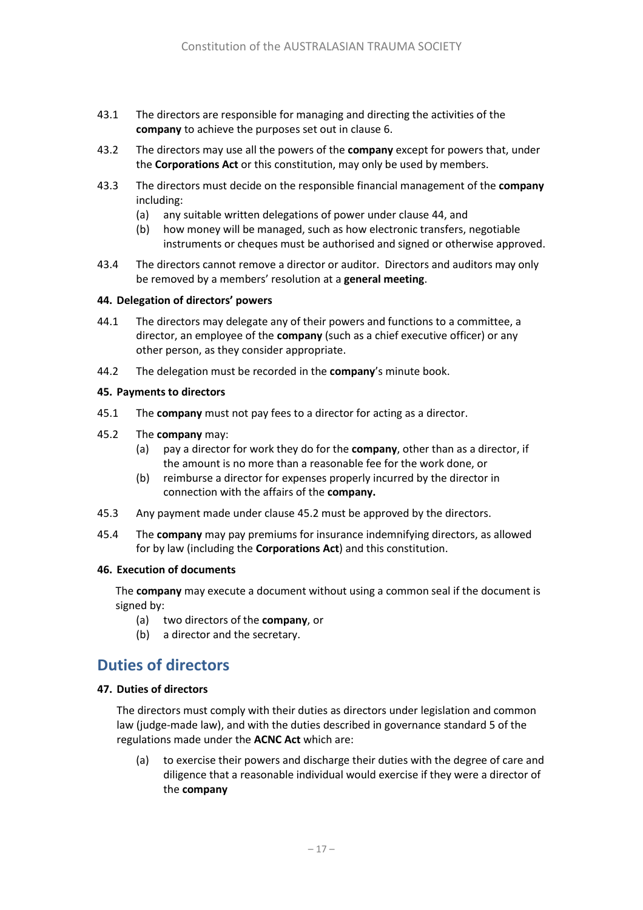- 43.1 The directors are responsible for managing and directing the activities of the **company** to achieve the purposes set out in clause [6.](#page-1-3)
- 43.2 The directors may use all the powers of the **company** except for powers that, under the **Corporations Act** or this constitution, may only be used by members.
- 43.3 The directors must decide on the responsible financial management of the **company** including:
	- (a) any suitable written delegations of power under clause [44,](#page-1-4) and
	- (b) how money will be managed, such as how electronic transfers, negotiable instruments or cheques must be authorised and signed or otherwise approved.
- 43.4 The directors cannot remove a director or auditor. Directors and auditors may only be removed by a members' resolution at a **general meeting**.

#### **44. Delegation of directors' powers**

- 44.1 The directors may delegate any of their powers and functions to a committee, a director, an employee of the **company** (such as a chief executive officer) or any other person, as they consider appropriate.
- 44.2 The delegation must be recorded in the **company**'s minute book.

#### **45. Payments to directors**

45.1 The **company** must not pay fees to a director for acting as a director.

#### <span id="page-16-0"></span>45.2 The **company** may:

- (a) pay a director for work they do for the **company**, other than as a director, if the amount is no more than a reasonable fee for the work done, or
- (b) reimburse a director for expenses properly incurred by the director in connection with the affairs of the **company.**
- 45.3 Any payment made under clause [45.2](#page-16-0) must be approved by the directors.
- 45.4 The **company** may pay premiums for insurance indemnifying directors, as allowed for by law (including the **Corporations Act**) and this constitution.

#### **46. Execution of documents**

The **company** may execute a document without using a common seal if the document is signed by:

- (a) two directors of the **company**, or
- (b) a director and the secretary.

### **Duties of directors**

#### **47. Duties of directors**

The directors must comply with their duties as directors under legislation and common law (judge-made law), and with the duties described in governance standard 5 of the regulations made under the **ACNC Act** which are:

(a) to exercise their powers and discharge their duties with the degree of care and diligence that a reasonable individual would exercise if they were a director of the **company**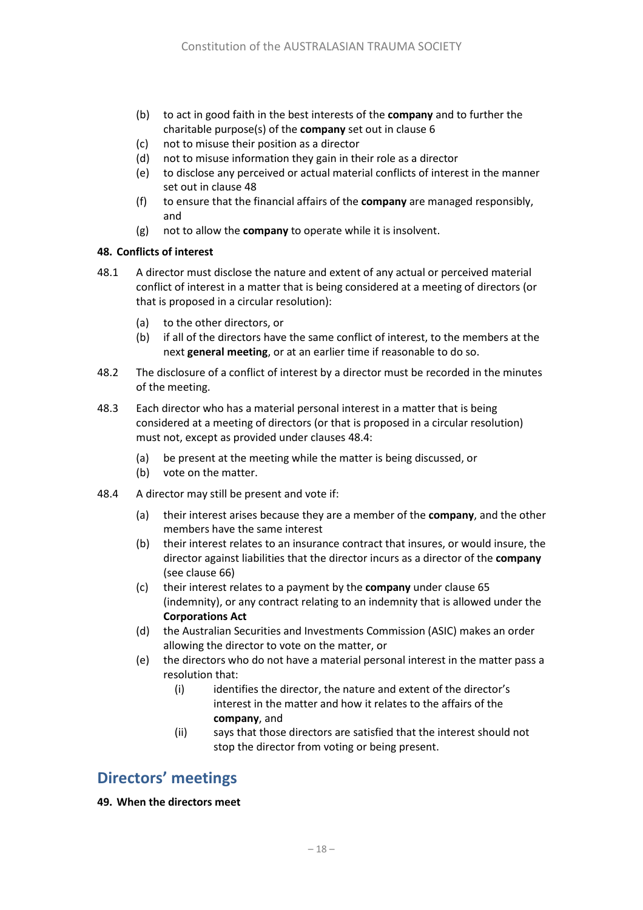- (b) to act in good faith in the best interests of the **company** and to further the charitable purpose(s) of the **company** set out in clause [6](#page-1-3)
- (c) not to misuse their position as a director
- (d) not to misuse information they gain in their role as a director
- (e) to disclose any perceived or actual material conflicts of interest in the manner set out in clause [48](#page-17-0)
- (f) to ensure that the financial affairs of the **company** are managed responsibly, and
- (g) not to allow the **company** to operate while it is insolvent.

#### <span id="page-17-0"></span>**48. Conflicts of interest**

- 48.1 A director must disclose the nature and extent of any actual or perceived material conflict of interest in a matter that is being considered at a meeting of directors (or that is proposed in a circular resolution):
	- (a) to the other directors, or
	- (b) if all of the directors have the same conflict of interest, to the members at the next **general meeting**, or at an earlier time if reasonable to do so.
- 48.2 The disclosure of a conflict of interest by a director must be recorded in the minutes of the meeting.
- 48.3 Each director who has a material personal interest in a matter that is being considered at a meeting of directors (or that is proposed in a circular resolution) must not, except as provided under clauses [48.4:](#page-17-1)
	- (a) be present at the meeting while the matter is being discussed, or
	- (b) vote on the matter.
- <span id="page-17-1"></span>48.4 A director may still be present and vote if:
	- (a) their interest arises because they are a member of the **company**, and the other members have the same interest
	- (b) their interest relates to an insurance contract that insures, or would insure, the director against liabilities that the director incurs as a director of the **company** (see clause [66\)](#page-21-0)
	- (c) their interest relates to a payment by the **company** under clause [65](#page-21-1) (indemnity), or any contract relating to an indemnity that is allowed under the **Corporations Act**
	- (d) the Australian Securities and Investments Commission (ASIC) makes an order allowing the director to vote on the matter, or
	- (e) the directors who do not have a material personal interest in the matter pass a resolution that:
		- (i) identifies the director, the nature and extent of the director's interest in the matter and how it relates to the affairs of the **company**, and
		- (ii) says that those directors are satisfied that the interest should not stop the director from voting or being present.

### **Directors' meetings**

#### **49. When the directors meet**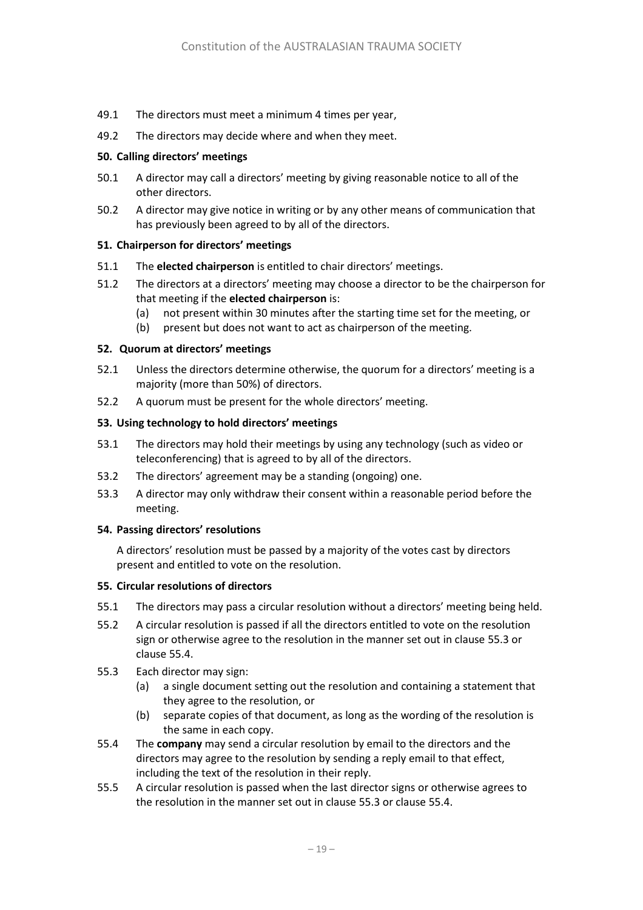- 49.1 The directors must meet a minimum 4 times per year,
- 49.2 The directors may decide where and when they meet.

#### **50. Calling directors' meetings**

- 50.1 A director may call a directors' meeting by giving reasonable notice to all of the other directors.
- 50.2 A director may give notice in writing or by any other means of communication that has previously been agreed to by all of the directors.

#### **51. Chairperson for directors' meetings**

- 51.1 The **elected chairperson** is entitled to chair directors' meetings.
- 51.2 The directors at a directors' meeting may choose a director to be the chairperson for that meeting if the **elected chairperson** is:
	- (a) not present within 30 minutes after the starting time set for the meeting, or
	- (b) present but does not want to act as chairperson of the meeting.

#### **52. Quorum at directors' meetings**

- 52.1 Unless the directors determine otherwise, the quorum for a directors' meeting is a majority (more than 50%) of directors.
- 52.2 A quorum must be present for the whole directors' meeting.

#### **53. Using technology to hold directors' meetings**

- 53.1 The directors may hold their meetings by using any technology (such as video or teleconferencing) that is agreed to by all of the directors.
- 53.2 The directors' agreement may be a standing (ongoing) one.
- 53.3 A director may only withdraw their consent within a reasonable period before the meeting.

#### **54. Passing directors' resolutions**

A directors' resolution must be passed by a majority of the votes cast by directors present and entitled to vote on the resolution.

#### **55. Circular resolutions of directors**

- 55.1 The directors may pass a circular resolution without a directors' meeting being held.
- 55.2 A circular resolution is passed if all the directors entitled to vote on the resolution sign or otherwise agree to the resolution in the manner set out in clause [55.3](#page-18-0) or claus[e 55.4.](#page-18-1)
- <span id="page-18-0"></span>55.3 Each director may sign:
	- (a) a single document setting out the resolution and containing a statement that they agree to the resolution, or
	- (b) separate copies of that document, as long as the wording of the resolution is the same in each copy.
- <span id="page-18-1"></span>55.4 The **company** may send a circular resolution by email to the directors and the directors may agree to the resolution by sending a reply email to that effect, including the text of the resolution in their reply.
- 55.5 A circular resolution is passed when the last director signs or otherwise agrees to the resolution in the manner set out in clause [55.3](#page-18-0) or claus[e 55.4.](#page-18-1)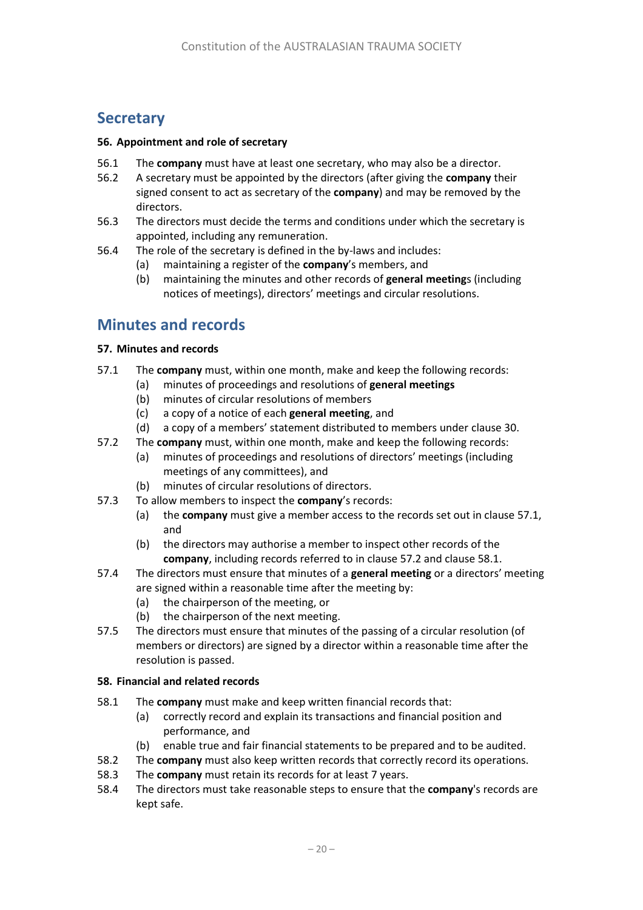### **Secretary**

#### **56. Appointment and role of secretary**

- 56.1 The **company** must have at least one secretary, who may also be a director.
- 56.2 A secretary must be appointed by the directors (after giving the **company** their signed consent to act as secretary of the **company**) and may be removed by the directors.
- 56.3 The directors must decide the terms and conditions under which the secretary is appointed, including any remuneration.
- 56.4 The role of the secretary is defined in the by-laws and includes:
	- (a) maintaining a register of the **company**'s members, and
	- (b) maintaining the minutes and other records of **general meeting**s (including notices of meetings), directors' meetings and circular resolutions.

### **Minutes and records**

#### **57. Minutes and records**

- <span id="page-19-0"></span>57.1 The **company** must, within one month, make and keep the following records:
	- (a) minutes of proceedings and resolutions of **general meetings**
	- (b) minutes of circular resolutions of members
	- (c) a copy of a notice of each **general meeting**, and
	- (d) a copy of a members' statement distributed to members under claus[e 30.](#page-1-5)
- <span id="page-19-1"></span>57.2 The **company** must, within one month, make and keep the following records:
	- (a) minutes of proceedings and resolutions of directors' meetings (including meetings of any committees), and
	- (b) minutes of circular resolutions of directors.
- 57.3 To allow members to inspect the **company**'s records:
	- (a) the **company** must give a member access to the records set out in claus[e 57.1,](#page-19-0) and
	- (b) the directors may authorise a member to inspect other records of the **company**, including records referred to in clause [57.2](#page-19-1) and clause [58.1.](#page-19-2)
- 57.4 The directors must ensure that minutes of a **general meeting** or a directors' meeting are signed within a reasonable time after the meeting by:
	- (a) the chairperson of the meeting, or
	- (b) the chairperson of the next meeting.
- 57.5 The directors must ensure that minutes of the passing of a circular resolution (of members or directors) are signed by a director within a reasonable time after the resolution is passed.

#### **58. Financial and related records**

- <span id="page-19-2"></span>58.1 The **company** must make and keep written financial records that:
	- (a) correctly record and explain its transactions and financial position and performance, and
	- (b) enable true and fair financial statements to be prepared and to be audited.
- 58.2 The **company** must also keep written records that correctly record its operations.
- 58.3 The **company** must retain its records for at least 7 years.
- 58.4 The directors must take reasonable steps to ensure that the **company**'s records are kept safe.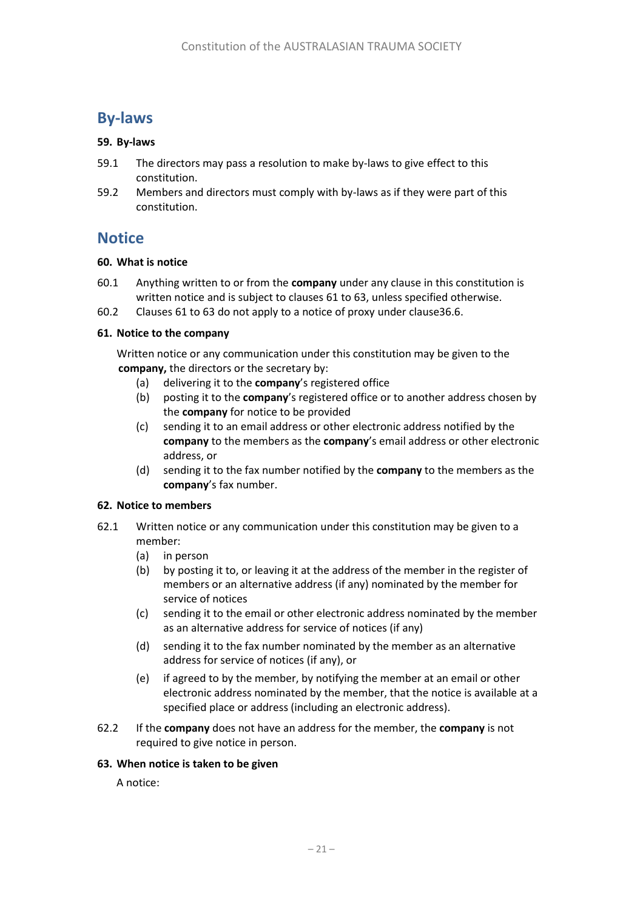### **By-laws**

#### **59. By-laws**

- 59.1 The directors may pass a resolution to make by-laws to give effect to this constitution.
- 59.2 Members and directors must comply with by-laws as if they were part of this constitution.

### **Notice**

#### **60. What is notice**

- 60.1 Anything written to or from the **company** under any clause in this constitution is written notice and is subject to clauses [61](#page-20-0) t[o 63,](#page-20-1) unless specified otherwise.
- 60.2 Clauses [61](#page-20-0) t[o 63](#page-20-1) do not apply to a notice of proxy under claus[e36.6.](#page-13-2)

#### <span id="page-20-0"></span>**61. Notice to the company**

Written notice or any communication under this constitution may be given to the **company,** the directors or the secretary by:

- (a) delivering it to the **company**'s registered office
- (b) posting it to the **company**'s registered office or to another address chosen by the **company** for notice to be provided
- (c) sending it to an email address or other electronic address notified by the **company** to the members as the **company**'s email address or other electronic address, or
- (d) sending it to the fax number notified by the **company** to the members as the **company**'s fax number.

#### **62. Notice to members**

- 62.1 Written notice or any communication under this constitution may be given to a member:
	- (a) in person
	- (b) by posting it to, or leaving it at the address of the member in the register of members or an alternative address (if any) nominated by the member for service of notices
	- (c) sending it to the email or other electronic address nominated by the member as an alternative address for service of notices (if any)
	- (d) sending it to the fax number nominated by the member as an alternative address for service of notices (if any), or
	- (e) if agreed to by the member, by notifying the member at an email or other electronic address nominated by the member, that the notice is available at a specified place or address (including an electronic address).
- 62.2 If the **company** does not have an address for the member, the **company** is not required to give notice in person.

#### <span id="page-20-1"></span>**63. When notice is taken to be given**

A notice: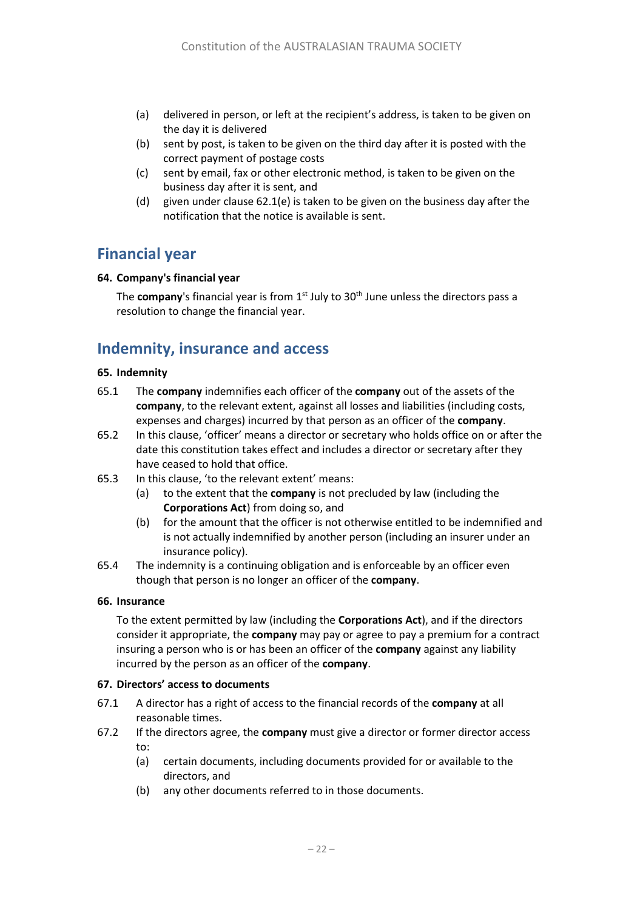- (a) delivered in person, or left at the recipient's address, is taken to be given on the day it is delivered
- (b) sent by post, is taken to be given on the third day after it is posted with the correct payment of postage costs
- (c) sent by email, fax or other electronic method, is taken to be given on the business day after it is sent, and
- (d) given under clause 62.1(e) is taken to be given on the business day after the notification that the notice is available is sent.

### **Financial year**

#### **64. Company's financial year**

The **company**'s financial year is from 1<sup>st</sup> July to 30<sup>th</sup> June unless the directors pass a resolution to change the financial year.

### **Indemnity, insurance and access**

#### <span id="page-21-1"></span>**65. Indemnity**

- 65.1 The **company** indemnifies each officer of the **company** out of the assets of the **company**, to the relevant extent, against all losses and liabilities (including costs, expenses and charges) incurred by that person as an officer of the **company**.
- 65.2 In this clause, 'officer' means a director or secretary who holds office on or after the date this constitution takes effect and includes a director or secretary after they have ceased to hold that office.
- 65.3 In this clause, 'to the relevant extent' means:
	- (a) to the extent that the **company** is not precluded by law (including the **Corporations Act**) from doing so, and
	- (b) for the amount that the officer is not otherwise entitled to be indemnified and is not actually indemnified by another person (including an insurer under an insurance policy).
- 65.4 The indemnity is a continuing obligation and is enforceable by an officer even though that person is no longer an officer of the **company**.

#### <span id="page-21-0"></span>**66. Insurance**

To the extent permitted by law (including the **Corporations Act**), and if the directors consider it appropriate, the **company** may pay or agree to pay a premium for a contract insuring a person who is or has been an officer of the **company** against any liability incurred by the person as an officer of the **company**.

#### **67. Directors' access to documents**

- 67.1 A director has a right of access to the financial records of the **company** at all reasonable times.
- 67.2 If the directors agree, the **company** must give a director or former director access to:
	- (a) certain documents, including documents provided for or available to the directors, and
	- (b) any other documents referred to in those documents.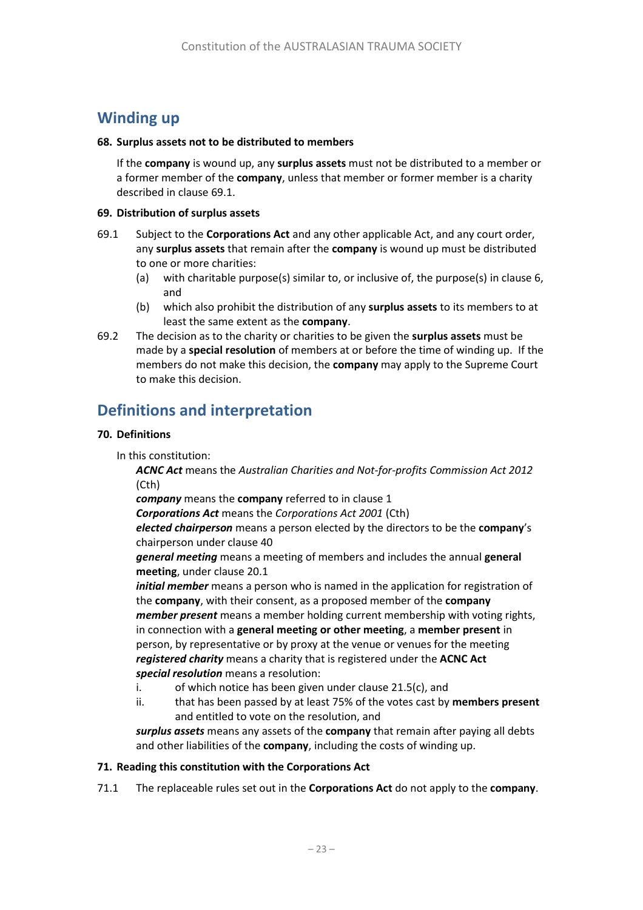### **Winding up**

#### **68. Surplus assets not to be distributed to members**

If the **company** is wound up, any **surplus assets** must not be distributed to a member or a former member of the **company**, unless that member or former member is a charity described in clause 69.1.

#### <span id="page-22-1"></span>**69. Distribution of surplus assets**

- 69.1 Subject to the **Corporations Act** and any other applicable Act, and any court order, any **surplus assets** that remain after the **company** is wound up must be distributed to one or more charities:
	- (a) with charitable purpose(s) similar to, or inclusive of, the purpose(s) in clause 6, and
	- (b) which also prohibit the distribution of any **surplus assets** to its members to at least the same extent as the **company**.
- 69.2 The decision as to the charity or charities to be given the **surplus assets** must be made by a **special resolution** of members at or before the time of winding up. If the members do not make this decision, the **company** may apply to the Supreme Court to make this decision.

### **Definitions and interpretation**

#### <span id="page-22-0"></span>**70. Definitions**

In this constitution:

*ACNC Act* means the *Australian Charities and Not-for-profits Commission Act 2012*  (Cth)

*company* means the **company** referred to in clause 1

*Corporations Act* means the *Corporations Act 2001* (Cth)

*elected chairperson* means a person elected by the directors to be the **company**'s chairperson under clause 40

*general meeting* means a meeting of members and includes the annual **general meeting**, under clause 20.1

*initial member* means a person who is named in the application for registration of the **company**, with their consent, as a proposed member of the **company** *member present* means a member holding current membership with voting rights, in connection with a **general meeting or other meeting**, a **member present** in person, by representative or by proxy at the venue or venues for the meeting *registered charity* means a charity that is registered under the **ACNC Act** *special resolution* means a resolution:

- i. of which notice has been given under clause 21.5(c), and
- ii. that has been passed by at least 75% of the votes cast by **members present** and entitled to vote on the resolution, and

*surplus assets* means any assets of the **company** that remain after paying all debts and other liabilities of the **company**, including the costs of winding up.

#### **71. Reading this constitution with the Corporations Act**

71.1 The replaceable rules set out in the **Corporations Act** do not apply to the **company**.